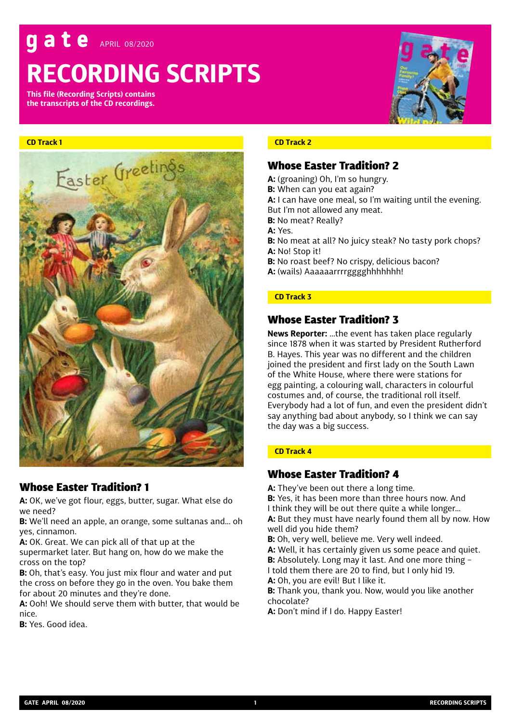# ate APRIL 08/2020

# **RECORDING SCRIPTS**

**This file (Recording Scripts) contains the transcripts of the CD recordings.**

#### **CD Track 1**



# Whose Easter Tradition? 1

**A:** OK, we've got flour, eggs, butter, sugar. What else do we need?

**B:** We'll need an apple, an orange, some sultanas and… oh yes, cinnamon.

**A:** OK. Great. We can pick all of that up at the

supermarket later. But hang on, how do we make the cross on the top?

**B:** Oh, that's easy. You just mix flour and water and put the cross on before they go in the oven. You bake them for about 20 minutes and they're done.

**A:** Ooh! We should serve them with butter, that would be nice.

**B:** Yes. Good idea.

# **CD Track 2**

# Whose Easter Tradition? 2

- **A:** (groaning) Oh, I'm so hungry.
- **B:** When can you eat again?
- **A:** I can have one meal, so I'm waiting until the evening.
- But I'm not allowed any meat.
- **B:** No meat? Really?
- **A:** Yes.
- **B:** No meat at all? No juicy steak? No tasty pork chops? **A:** No! Stop it!
- **B:** No roast beef? No crispy, delicious bacon? **A:** (wails) Aaaaaarrrrgggghhhhhhh!

#### **CD Track 3**

# Whose Easter Tradition? 3

**News Reporter:** …the event has taken place regularly since 1878 when it was started by President Rutherford B. Hayes. This year was no different and the children joined the president and first lady on the South Lawn of the White House, where there were stations for egg painting, a colouring wall, characters in colourful costumes and, of course, the traditional roll itself. Everybody had a lot of fun, and even the president didn't say anything bad about anybody, so I think we can say the day was a big success.

## **CD Track 4**

# Whose Easter Tradition? 4

- **A:** They've been out there a long time.
- **B:** Yes, it has been more than three hours now. And I think they will be out there quite a while longer…

**A:** But they must have nearly found them all by now. How well did you hide them?

- **B:** Oh, very well, believe me. Very well indeed. **A:** Well, it has certainly given us some peace and quiet. **B:** Absolutely. Long may it last. And one more thing – I told them there are 20 to find, but I only hid 19.
- **A:** Oh, you are evil! But I like it.
- **B:** Thank you, thank you. Now, would you like another chocolate?
- **A:** Don't mind if I do. Happy Easter!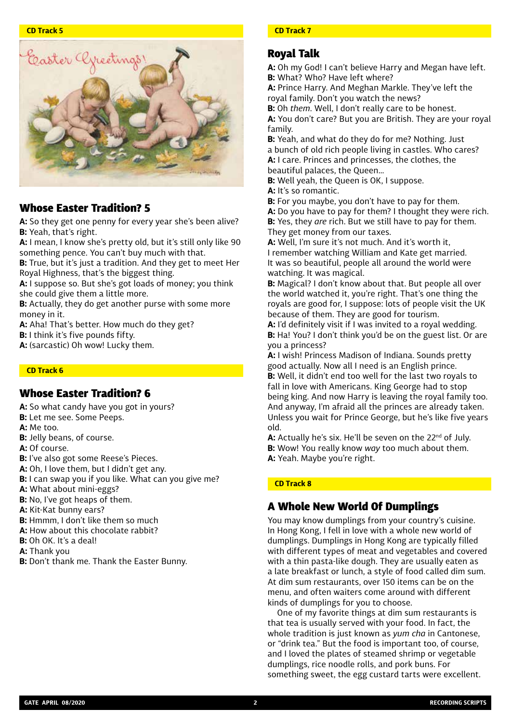

# Whose Easter Tradition? 5

**A:** So they get one penny for every year she's been alive? **B:** Yeah, that's right.

**A:** I mean, I know she's pretty old, but it's still only like 90 something pence. You can't buy much with that.

**B:** True, but it's just a tradition. And they get to meet Her Royal Highness, that's the biggest thing.

**A:** I suppose so. But she's got loads of money; you think she could give them a little more.

**B:** Actually, they do get another purse with some more money in it.

**A:** Aha! That's better. How much do they get?

**B:** I think it's five pounds fifty.

**A:** (sarcastic) Oh wow! Lucky them.

#### **CD Track 6**

# Whose Easter Tradition? 6

**A:** So what candy have you got in yours?

- **B:** Let me see. Some Peeps.
- **A:** Me too.
- **B:** Jelly beans, of course.
- **A:** Of course.
- **B:** I've also got some Reese's Pieces.
- **A:** Oh, I love them, but I didn't get any.
- **B:** I can swap you if you like. What can you give me?

**A:** What about mini-eggs?

**B:** No, I've got heaps of them.

**A:** Kit-Kat bunny ears?

- **B:** Hmmm, I don't like them so much
- **A:** How about this chocolate rabbit?
- **B:** Oh OK. It's a deal!
- **A:** Thank you
- **B:** Don't thank me. Thank the Easter Bunny.

#### **CD Track 7**

# Royal Talk

**A:** Oh my God! I can't believe Harry and Megan have left. **B:** What? Who? Have left where?

**A:** Prince Harry. And Meghan Markle. They've left the royal family. Don't you watch the news?

**B:** Oh *them*. Well, I don't really care to be honest. **A:** You don't care? But you are British. They are your royal family.

**B:** Yeah, and what do they do for me? Nothing. Just a bunch of old rich people living in castles. Who cares? **A:** I care. Princes and princesses, the clothes, the beautiful palaces, the Queen…

**B:** Well yeah, the Queen is OK, I suppose.

**A:** It's so romantic.

**B:** For you maybe, you don't have to pay for them.

**A:** Do you have to pay for them? I thought they were rich. **B:** Yes, they *are* rich. But we still have to pay for them. They get money from our taxes.

**A:** Well, I'm sure it's not much. And it's worth it, I remember watching William and Kate get married. It was so beautiful, people all around the world were watching. It was magical.

**B:** Magical? I don't know about that. But people all over the world watched it, you're right. That's one thing the royals are good for, I suppose: lots of people visit the UK because of them. They are good for tourism.

**A:** I'd definitely visit if I was invited to a royal wedding. **B:** Ha! You? I don't think you'd be on the guest list. Or are you a princess?

**A:** I wish! Princess Madison of Indiana. Sounds pretty good actually. Now all I need is an English prince. **B:** Well, it didn't end too well for the last two royals to fall in love with Americans. King George had to stop being king. And now Harry is leaving the royal family too. And anyway, I'm afraid all the princes are already taken. Unless you wait for Prince George, but he's like five years old.

**A:** Actually he's six. He'll be seven on the 22<sup>nd</sup> of July. **B:** Wow! You really know *way* too much about them. **A:** Yeah. Maybe you're right.

#### **CD Track 8**

# A Whole New World Of Dumplings

You may know dumplings from your country's cuisine. In Hong Kong, I fell in love with a whole new world of dumplings. Dumplings in Hong Kong are typically filled with different types of meat and vegetables and covered with a thin pasta-like dough. They are usually eaten as a late breakfast or lunch, a style of food called dim sum. At dim sum restaurants, over 150 items can be on the menu, and often waiters come around with different kinds of dumplings for you to choose.

One of my favorite things at dim sum restaurants is that tea is usually served with your food. In fact, the whole tradition is just known as *yum cha* in Cantonese, or "drink tea." But the food is important too, of course, and I loved the plates of steamed shrimp or vegetable dumplings, rice noodle rolls, and pork buns. For something sweet, the egg custard tarts were excellent.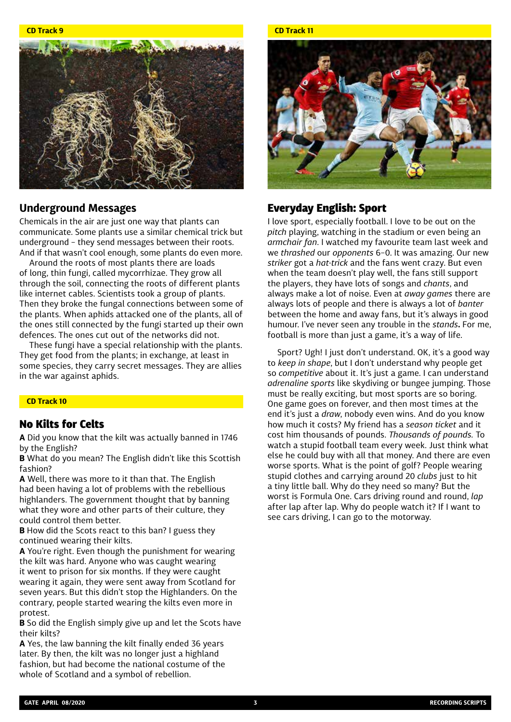**CD Track 9**



# **Underground Messages**

Chemicals in the air are just one way that plants can communicate. Some plants use a similar chemical trick but underground – they send messages between their roots. And if that wasn't cool enough, some plants do even more.

Around the roots of most plants there are loads of long, thin fungi, called mycorrhizae. They grow all through the soil, connecting the roots of different plants like internet cables. Scientists took a group of plants. Then they broke the fungal connections between some of the plants. When aphids attacked one of the plants, all of the ones still connected by the fungi started up their own defences. The ones cut out of the networks did not.

These fungi have a special relationship with the plants. They get food from the plants; in exchange, at least in some species, they carry secret messages. They are allies in the war against aphids.

#### **CD Track 10**

# No Kilts for Celts

**A** Did you know that the kilt was actually banned in 1746 by the English?

**B** What do you mean? The English didn't like this Scottish fashion?

**A** Well, there was more to it than that. The English had been having a lot of problems with the rebellious highlanders. The government thought that by banning what they wore and other parts of their culture, they could control them better.

**B** How did the Scots react to this ban? I guess they continued wearing their kilts.

**A** You're right. Even though the punishment for wearing the kilt was hard. Anyone who was caught wearing it went to prison for six months. If they were caught wearing it again, they were sent away from Scotland for seven years. But this didn't stop the Highlanders. On the contrary, people started wearing the kilts even more in protest.

**B** So did the English simply give up and let the Scots have their kilts?

**A** Yes, the law banning the kilt finally ended 36 years later. By then, the kilt was no longer just a highland fashion, but had become the national costume of the whole of Scotland and a symbol of rebellion.

#### **CD Track 11**



# Everyday English: Sport

I love sport, especially football. I love to be out on the *pitch* playing, watching in the stadium or even being an *armchair fan*. I watched my favourite team last week and we *thrashed* our *opponents* 6–0. It was amazing. Our new *striker* got a *hat-trick* and the fans went crazy. But even when the team doesn't play well, the fans still support the players, they have lots of songs and *chants*, and always make a lot of noise. Even at *away games* there are always lots of people and there is always a lot of *banter* between the home and away fans, but it's always in good humour. I've never seen any trouble in the *stands***.** For me, football is more than just a game, it's a way of life.

Sport? Ugh! I just don't understand. OK, it's a good way to *keep in shape*, but I don't understand why people get so *competitive* about it. It's just a game. I can understand *adrenaline sports* like skydiving or bungee jumping. Those must be really exciting, but most sports are so boring. One game goes on forever, and then most times at the end it's just a *draw*, nobody even wins. And do you know how much it costs? My friend has a *season ticket* and it cost him thousands of pounds. *Thousands of pounds.* To watch a stupid football team every week. Just think what else he could buy with all that money. And there are even worse sports. What is the point of golf? People wearing stupid clothes and carrying around 20 *clubs* just to hit a tiny little ball. Why do they need so many? But the worst is Formula One. Cars driving round and round, *lap* after lap after lap. Why do people watch it? If I want to see cars driving, I can go to the motorway.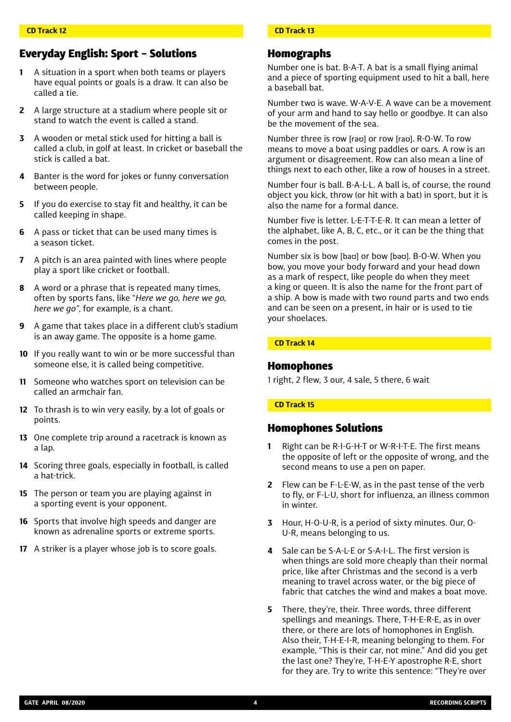# Everyday English: Sport – Solutions

- **1** A situation in a sport when both teams or players have equal points or goals is a draw. It can also be called a tie.
- **2** A large structure at a stadium where people sit or stand to watch the event is called a stand.
- **3** A wooden or metal stick used for hitting a ball is called a club, in golf at least. In cricket or baseball the stick is called a bat.
- **4** Banter is the word for jokes or funny conversation between people.
- **5** If you do exercise to stay fit and healthy, it can be called keeping in shape.
- **6** A pass or ticket that can be used many times is a season ticket.
- **7** A pitch is an area painted with lines where people play a sport like cricket or football.
- **8** A word or a phrase that is repeated many times, often by sports fans, like "*Here we go, here we go, here we go"*, for example, is a chant.
- **9** A game that takes place in a different club's stadium is an away game. The opposite is a home game.
- **10** If you really want to win or be more successful than someone else, it is called being competitive.
- **11** Someone who watches sport on television can be called an armchair fan.
- **12** To thrash is to win very easily, by a lot of goals or points.
- **13** One complete trip around a racetrack is known as a lap.
- **14** Scoring three goals, especially in football, is called a hat-trick.
- **15** The person or team you are playing against in a sporting event is your opponent.
- **16** Sports that involve high speeds and danger are known as adrenaline sports or extreme sports.
- **17** A striker is a player whose job is to score goals.

## **CD Track 13**

# Homographs

Number one is bat. B-A-T. A bat is a small flying animal and a piece of sporting equipment used to hit a ball, here a baseball bat.

Number two is wave. W-A-V-E. A wave can be a movement of your arm and hand to say hello or goodbye. It can also be the movement of the sea.

Number three is row [rəʊ] or row [raʊ]. R-O-W. To row means to move a boat using paddles or oars. A row is an argument or disagreement. Row can also mean a line of things next to each other, like a row of houses in a street.

Number four is ball. B-A-L-L. A ball is, of course, the round object you kick, throw (or hit with a bat) in sport, but it is also the name for a formal dance.

Number five is letter. L-E-T-T-E-R. It can mean a letter of the alphabet, like A, B, C, etc., or it can be the thing that comes in the post.

Number six is bow [baʊ] or bow [bəʊ]. B-O-W. When you bow, you move your body forward and your head down as a mark of respect, like people do when they meet a king or queen. It is also the name for the front part of a ship. A bow is made with two round parts and two ends and can be seen on a present, in hair or is used to tie your shoelaces.

#### **CD Track 14**

# Homophones

1 right, 2 flew, 3 our, 4 sale, 5 there, 6 wait

## **CD Track 15**

# Homophones Solutions

- **1** Right can be R-I-G-H-T or W-R-I-T-E. The first means the opposite of left or the opposite of wrong, and the second means to use a pen on paper.
- **2** Flew can be F-L-E-W, as in the past tense of the verb to fly, or F-L-U, short for influenza, an illness common in winter.
- **3** Hour, H-O-U-R, is a period of sixty minutes. Our, O-U-R, means belonging to us.
- **4** Sale can be S-A-L-E or S-A-I-L. The first version is when things are sold more cheaply than their normal price, like after Christmas and the second is a verb meaning to travel across water, or the big piece of fabric that catches the wind and makes a boat move.
- **5** There, they're, their. Three words, three different spellings and meanings. There, T-H-E-R-E, as in over there, or there are lots of homophones in English. Also their, T-H-E-I-R, meaning belonging to them. For example, "This is their car, not mine." And did you get the last one? They're, T-H-E-Y apostrophe R-E, short for they are. Try to write this sentence: "They're over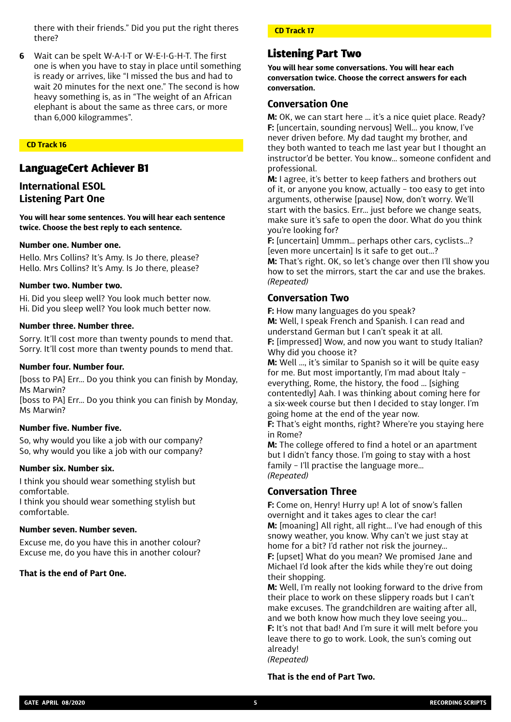there with their friends." Did you put the right theres there?

**6** Wait can be spelt W-A-I-T or W-E-I-G-H-T. The first one is when you have to stay in place until something is ready or arrives, like "I missed the bus and had to wait 20 minutes for the next one." The second is how heavy something is, as in "The weight of an African elephant is about the same as three cars, or more than 6,000 kilogrammes".

#### **CD Track 16**

# LanguageCert Achiever B1

# **International ESOL Listening Part One**

**You will hear some sentences. You will hear each sentence twice. Choose the best reply to each sentence.**

#### **Number one. Number one.**

Hello. Mrs Collins? It's Amy. Is Jo there, please? Hello. Mrs Collins? It's Amy. Is Jo there, please?

#### **Number two. Number two.**

Hi. Did you sleep well? You look much better now. Hi. Did you sleep well? You look much better now.

#### **Number three. Number three.**

Sorry. It'll cost more than twenty pounds to mend that. Sorry. It'll cost more than twenty pounds to mend that.

#### **Number four. Number four.**

[boss to PA] Err… Do you think you can finish by Monday, Ms Marwin?

[boss to PA] Err… Do you think you can finish by Monday, Ms Marwin?

#### **Number five. Number five.**

So, why would you like a job with our company? So, why would you like a job with our company?

#### **Number six. Number six.**

I think you should wear something stylish but comfortable.

I think you should wear something stylish but comfortable.

#### **Number seven. Number seven.**

Excuse me, do you have this in another colour? Excuse me, do you have this in another colour?

#### **That is the end of Part One.**

#### **CD Track 17**

# Listening Part Two

**You will hear some conversations. You will hear each conversation twice. Choose the correct answers for each conversation.**

#### **Conversation One**

**M:** OK, we can start here … it's a nice quiet place. Ready? **F:** [uncertain, sounding nervous] Well… you know, I've never driven before. My dad taught my brother, and they both wanted to teach me last year but I thought an instructor'd be better. You know… someone confident and professional.

**M:** I agree, it's better to keep fathers and brothers out of it, or anyone you know, actually – too easy to get into arguments, otherwise [pause] Now, don't worry. We'll start with the basics. Err… just before we change seats, make sure it's safe to open the door. What do you think you're looking for?

**F:** [uncertain] Ummm… perhaps other cars, cyclists…? [even more uncertain] Is it safe to get out…?

**M:** That's right. OK, so let's change over then I'll show you how to set the mirrors, start the car and use the brakes. *(Repeated)*

# **Conversation Two**

**F:** How many languages do you speak? **M:** Well, I speak French and Spanish. I can read and understand German but I can't speak it at all. **F:** [impressed] Wow, and now you want to study Italian? Why did you choose it?

**M:** Well …, it's similar to Spanish so it will be quite easy for me. But most importantly, I'm mad about Italy – everything, Rome, the history, the food … [sighing contentedly] Aah. I was thinking about coming here for a six-week course but then I decided to stay longer. I'm going home at the end of the year now.

**F:** That's eight months, right? Where're you staying here in Rome?

**M:** The college offered to find a hotel or an apartment but I didn't fancy those. I'm going to stay with a host family – I'll practise the language more… *(Repeated)*

#### **Conversation Three**

**F:** Come on, Henry! Hurry up! A lot of snow's fallen overnight and it takes ages to clear the car! **M:** [moaning] All right, all right… I've had enough of this snowy weather, you know. Why can't we just stay at home for a bit? I'd rather not risk the journey… **F:** [upset] What do you mean? We promised Jane and Michael I'd look after the kids while they're out doing their shopping.

**M:** Well, I'm really not looking forward to the drive from their place to work on these slippery roads but I can't make excuses. The grandchildren are waiting after all, and we both know how much they love seeing you… **F:** It's not that bad! And I'm sure it will melt before you leave there to go to work. Look, the sun's coming out already! *(Repeated)*

#### **That is the end of Part Two.**